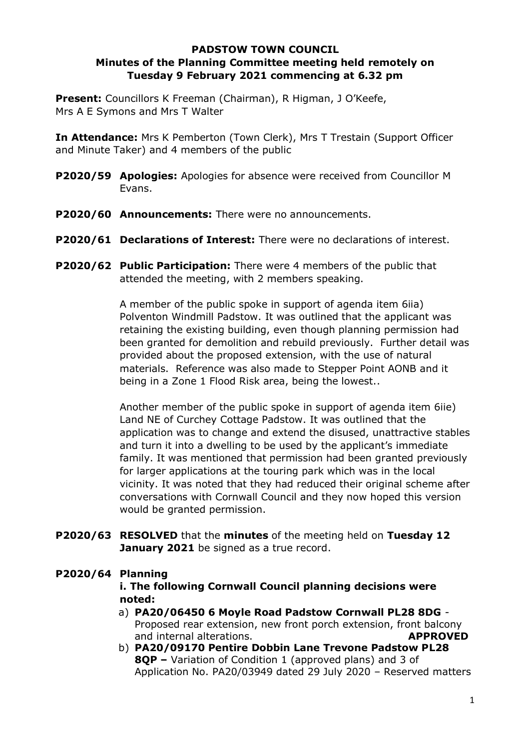## **PADSTOW TOWN COUNCIL Minutes of the Planning Committee meeting held remotely on Tuesday 9 February 2021 commencing at 6.32 pm**

**Present:** Councillors K Freeman (Chairman), R Higman, J O'Keefe, Mrs A E Symons and Mrs T Walter

**In Attendance:** Mrs K Pemberton (Town Clerk), Mrs T Trestain (Support Officer and Minute Taker) and 4 members of the public

- **P2020/59 Apologies:** Apologies for absence were received from Councillor M Evans.
- **P2020/60 Announcements:** There were no announcements.
- **P2020/61 Declarations of Interest:** There were no declarations of interest.
- **P2020/62 Public Participation:** There were 4 members of the public that attended the meeting, with 2 members speaking.

A member of the public spoke in support of agenda item 6iia) Polventon Windmill Padstow. It was outlined that the applicant was retaining the existing building, even though planning permission had been granted for demolition and rebuild previously. Further detail was provided about the proposed extension, with the use of natural materials. Reference was also made to Stepper Point AONB and it being in a Zone 1 Flood Risk area, being the lowest..

Another member of the public spoke in support of agenda item 6iie) Land NE of Curchey Cottage Padstow. It was outlined that the application was to change and extend the disused, unattractive stables and turn it into a dwelling to be used by the applicant's immediate family. It was mentioned that permission had been granted previously for larger applications at the touring park which was in the local vicinity. It was noted that they had reduced their original scheme after conversations with Cornwall Council and they now hoped this version would be granted permission.

**P2020/63 RESOLVED** that the **minutes** of the meeting held on **Tuesday 12** January 2021 be signed as a true record.

## **P2020/64 Planning i. The following Cornwall Council planning decisions were noted:**

- a) **PA20/06450 6 Moyle Road Padstow Cornwall PL28 8DG**  Proposed rear extension, new front porch extension, front balcony and internal alterations. **APPROVED**
- b) **PA20/09170 Pentire Dobbin Lane Trevone Padstow PL28 8QP –** Variation of Condition 1 (approved plans) and 3 of Application No. PA20/03949 dated 29 July 2020 – Reserved matters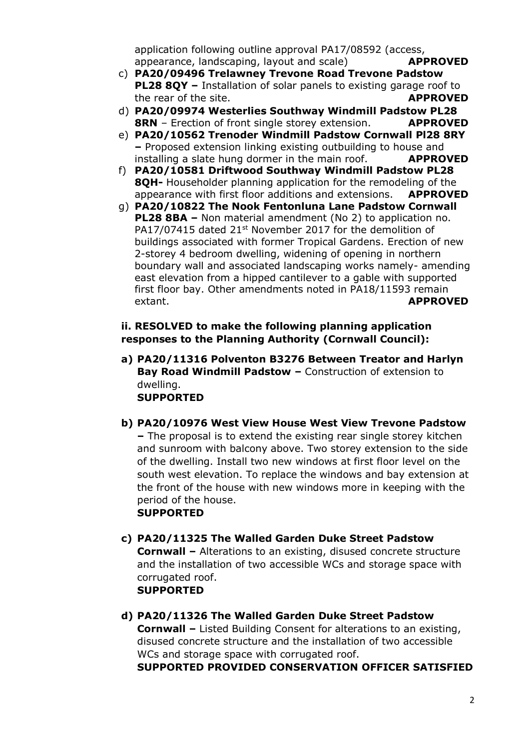application following outline approval PA17/08592 (access, appearance, landscaping, layout and scale) **APPROVED**

- c) **PA20/09496 Trelawney Trevone Road Trevone Padstow PL28 8QY –** Installation of solar panels to existing garage roof to the rear of the site. **APPROVED**
- d) **PA20/09974 Westerlies Southway Windmill Padstow PL28 8RN** – Erection of front single storey extension. **APPROVED**
- e) **PA20/10562 Trenoder Windmill Padstow Cornwall Pl28 8RY –** Proposed extension linking existing outbuilding to house and installing a slate hung dormer in the main roof. **APPROVED**
- f) **PA20/10581 Driftwood Southway Windmill Padstow PL28 8QH-** Householder planning application for the remodeling of the appearance with first floor additions and extensions. **APPROVED**
- g) **PA20/10822 The Nook Fentonluna Lane Padstow Cornwall PL28 8BA –** Non material amendment (No 2) to application no. PA17/07415 dated 21<sup>st</sup> November 2017 for the demolition of buildings associated with former Tropical Gardens. Erection of new 2-storey 4 bedroom dwelling, widening of opening in northern boundary wall and associated landscaping works namely- amending east elevation from a hipped cantilever to a gable with supported first floor bay. Other amendments noted in PA18/11593 remain extant. **APPROVED**

## **ii. RESOLVED to make the following planning application responses to the Planning Authority (Cornwall Council):**

- **a) PA20/11316 Polventon B3276 Between Treator and Harlyn Bay Road Windmill Padstow –** Construction of extension to dwelling. **SUPPORTED**
- **b) PA20/10976 West View House West View Trevone Padstow –** The proposal is to extend the existing rear single storey kitchen and sunroom with balcony above. Two storey extension to the side of the dwelling. Install two new windows at first floor level on the south west elevation. To replace the windows and bay extension at the front of the house with new windows more in keeping with the period of the house. **SUPPORTED**
- **c) PA20/11325 The Walled Garden Duke Street Padstow Cornwall –** Alterations to an existing, disused concrete structure and the installation of two accessible WCs and storage space with corrugated roof. **SUPPORTED**
- **d) PA20/11326 The Walled Garden Duke Street Padstow Cornwall –** Listed Building Consent for alterations to an existing, disused concrete structure and the installation of two accessible WCs and storage space with corrugated roof.

**SUPPORTED PROVIDED CONSERVATION OFFICER SATISFIED**